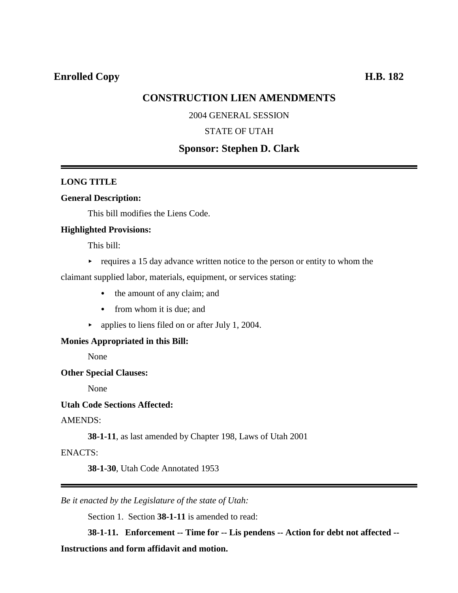## **Enrolled Copy H.B. 182**

## **CONSTRUCTION LIEN AMENDMENTS**

## 2004 GENERAL SESSION

### STATE OF UTAH

## **Sponsor: Stephen D. Clark**

### **LONG TITLE**

#### **General Description:**

This bill modifies the Liens Code.

#### **Highlighted Provisions:**

This bill:

 $\rightarrow$  requires a 15 day advance written notice to the person or entity to whom the

claimant supplied labor, materials, equipment, or services stating:

- the amount of any claim; and
- from whom it is due; and
- $\blacktriangleright$  applies to liens filed on or after July 1, 2004.

#### **Monies Appropriated in this Bill:**

None

#### **Other Special Clauses:**

None

## **Utah Code Sections Affected:**

#### AMENDS:

**38-1-11**, as last amended by Chapter 198, Laws of Utah 2001

#### ENACTS:

**38-1-30**, Utah Code Annotated 1953

*Be it enacted by the Legislature of the state of Utah:*

Section 1. Section **38-1-11** is amended to read:

**38-1-11. Enforcement -- Time for -- Lis pendens -- Action for debt not affected --**

## **Instructions and form affidavit and motion.**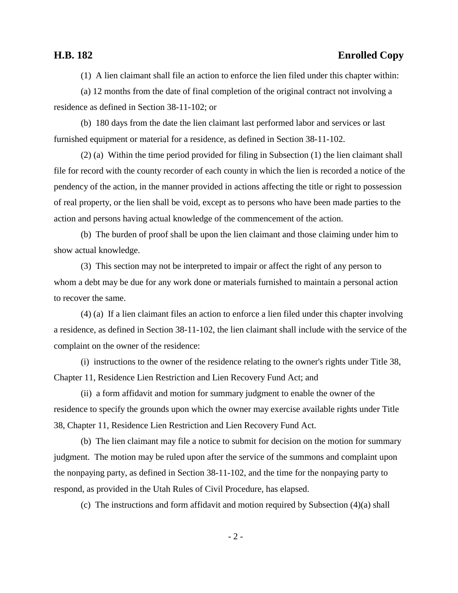## **H.B. 182 Enrolled Copy**

(1) A lien claimant shall file an action to enforce the lien filed under this chapter within:

(a) 12 months from the date of final completion of the original contract not involving a residence as defined in Section 38-11-102; or

(b) 180 days from the date the lien claimant last performed labor and services or last furnished equipment or material for a residence, as defined in Section 38-11-102.

(2) (a) Within the time period provided for filing in Subsection (1) the lien claimant shall file for record with the county recorder of each county in which the lien is recorded a notice of the pendency of the action, in the manner provided in actions affecting the title or right to possession of real property, or the lien shall be void, except as to persons who have been made parties to the action and persons having actual knowledge of the commencement of the action.

(b) The burden of proof shall be upon the lien claimant and those claiming under him to show actual knowledge.

(3) This section may not be interpreted to impair or affect the right of any person to whom a debt may be due for any work done or materials furnished to maintain a personal action to recover the same.

(4) (a) If a lien claimant files an action to enforce a lien filed under this chapter involving a residence, as defined in Section 38-11-102, the lien claimant shall include with the service of the complaint on the owner of the residence:

(i) instructions to the owner of the residence relating to the owner's rights under Title 38, Chapter 11, Residence Lien Restriction and Lien Recovery Fund Act; and

(ii) a form affidavit and motion for summary judgment to enable the owner of the residence to specify the grounds upon which the owner may exercise available rights under Title 38, Chapter 11, Residence Lien Restriction and Lien Recovery Fund Act.

(b) The lien claimant may file a notice to submit for decision on the motion for summary judgment. The motion may be ruled upon after the service of the summons and complaint upon the nonpaying party, as defined in Section 38-11-102, and the time for the nonpaying party to respond, as provided in the Utah Rules of Civil Procedure, has elapsed.

(c) The instructions and form affidavit and motion required by Subsection (4)(a) shall